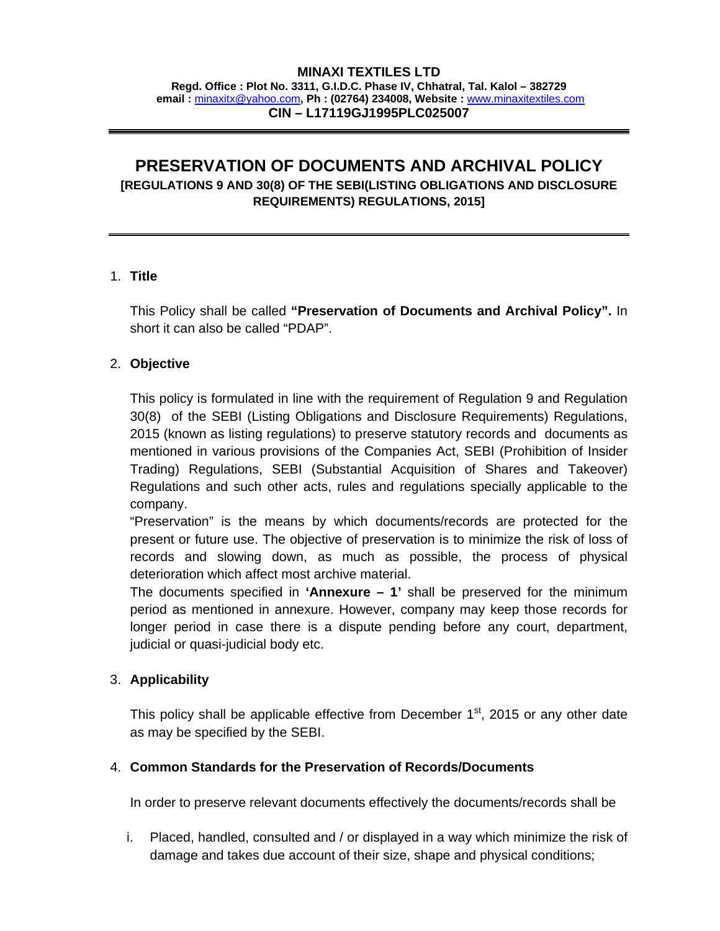#### **MINAXI TEXTILES LTD**

**Regd. Office : Plot No. 3311, G.I.D.C. Phase IV, Chhatral, Tal. Kalol – 382729 email :** minaxitx@yahoo.com**, Ph : (02764) 234008, Website :** www.minaxitextiles.com **CIN – L17119GJ1995PLC025007** 

# **PRESERVATION OF DOCUMENTS AND ARCHIVAL POLICY [REGULATIONS 9 AND 30(8) OF THE SEBI(LISTING OBLIGATIONS AND DISCLOSURE REQUIREMENTS) REGULATIONS, 2015]**

#### 1. **Title**

This Policy shall be called **"Preservation of Documents and Archival Policy".** In short it can also be called "PDAP".

#### 2. **Objective**

This policy is formulated in line with the requirement of Regulation 9 and Regulation 30(8) of the SEBI (Listing Obligations and Disclosure Requirements) Regulations, 2015 (known as listing regulations) to preserve statutory records and documents as mentioned in various provisions of the Companies Act, SEBI (Prohibition of Insider Trading) Regulations, SEBI (Substantial Acquisition of Shares and Takeover) Regulations and such other acts, rules and regulations specially applicable to the company.

"Preservation" is the means by which documents/records are protected for the present or future use. The objective of preservation is to minimize the risk of loss of records and slowing down, as much as possible, the process of physical deterioration which affect most archive material.

The documents specified in **'Annexure – 1'** shall be preserved for the minimum period as mentioned in annexure. However, company may keep those records for longer period in case there is a dispute pending before any court, department, judicial or quasi-judicial body etc.

#### 3. **Applicability**

This policy shall be applicable effective from December  $1<sup>st</sup>$ , 2015 or any other date as may be specified by the SEBI.

#### 4. **Common Standards for the Preservation of Records/Documents**

In order to preserve relevant documents effectively the documents/records shall be

i. Placed, handled, consulted and / or displayed in a way which minimize the risk of damage and takes due account of their size, shape and physical conditions;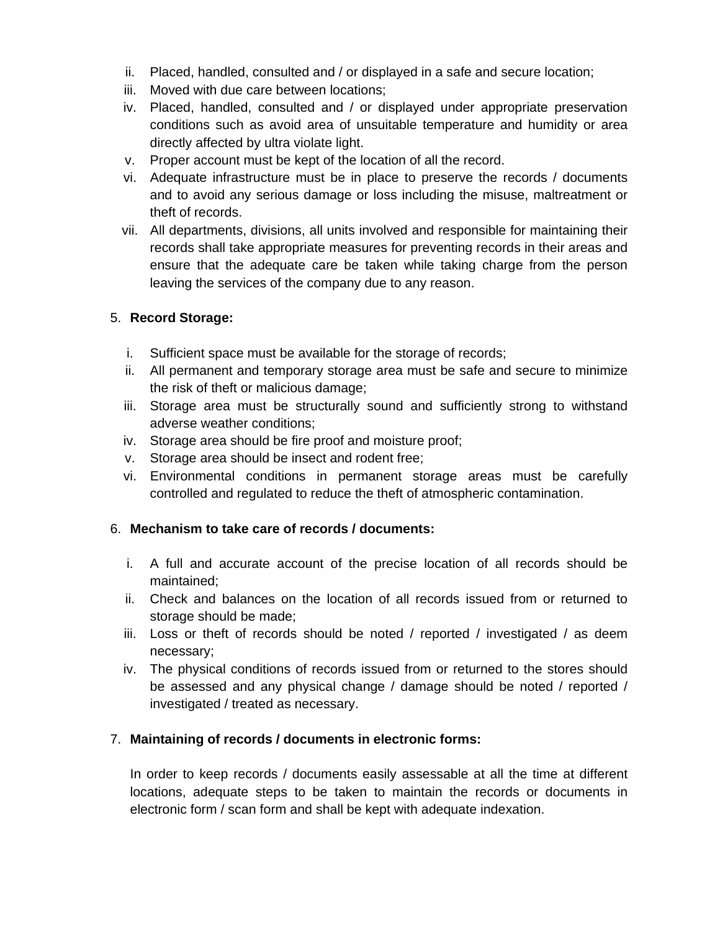- ii. Placed, handled, consulted and / or displayed in a safe and secure location;
- iii. Moved with due care between locations;
- iv. Placed, handled, consulted and / or displayed under appropriate preservation conditions such as avoid area of unsuitable temperature and humidity or area directly affected by ultra violate light.
- v. Proper account must be kept of the location of all the record.
- vi. Adequate infrastructure must be in place to preserve the records / documents and to avoid any serious damage or loss including the misuse, maltreatment or theft of records.
- vii. All departments, divisions, all units involved and responsible for maintaining their records shall take appropriate measures for preventing records in their areas and ensure that the adequate care be taken while taking charge from the person leaving the services of the company due to any reason.

## 5. **Record Storage:**

- i. Sufficient space must be available for the storage of records;
- ii. All permanent and temporary storage area must be safe and secure to minimize the risk of theft or malicious damage;
- iii. Storage area must be structurally sound and sufficiently strong to withstand adverse weather conditions;
- iv. Storage area should be fire proof and moisture proof;
- v. Storage area should be insect and rodent free;
- vi. Environmental conditions in permanent storage areas must be carefully controlled and regulated to reduce the theft of atmospheric contamination.

## 6. **Mechanism to take care of records / documents:**

- i. A full and accurate account of the precise location of all records should be maintained;
- ii. Check and balances on the location of all records issued from or returned to storage should be made;
- iii. Loss or theft of records should be noted / reported / investigated / as deem necessary;
- iv. The physical conditions of records issued from or returned to the stores should be assessed and any physical change / damage should be noted / reported / investigated / treated as necessary.

## 7. **Maintaining of records / documents in electronic forms:**

In order to keep records / documents easily assessable at all the time at different locations, adequate steps to be taken to maintain the records or documents in electronic form / scan form and shall be kept with adequate indexation.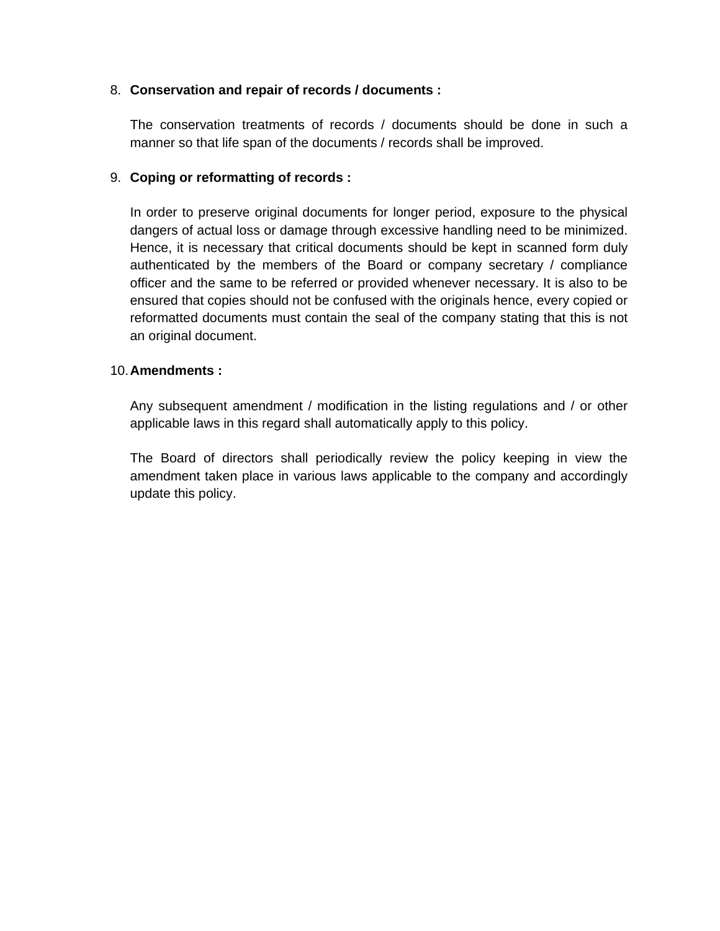#### 8. **Conservation and repair of records / documents :**

The conservation treatments of records / documents should be done in such a manner so that life span of the documents / records shall be improved.

#### 9. **Coping or reformatting of records :**

In order to preserve original documents for longer period, exposure to the physical dangers of actual loss or damage through excessive handling need to be minimized. Hence, it is necessary that critical documents should be kept in scanned form duly authenticated by the members of the Board or company secretary / compliance officer and the same to be referred or provided whenever necessary. It is also to be ensured that copies should not be confused with the originals hence, every copied or reformatted documents must contain the seal of the company stating that this is not an original document.

#### 10. **Amendments :**

Any subsequent amendment / modification in the listing regulations and / or other applicable laws in this regard shall automatically apply to this policy.

The Board of directors shall periodically review the policy keeping in view the amendment taken place in various laws applicable to the company and accordingly update this policy.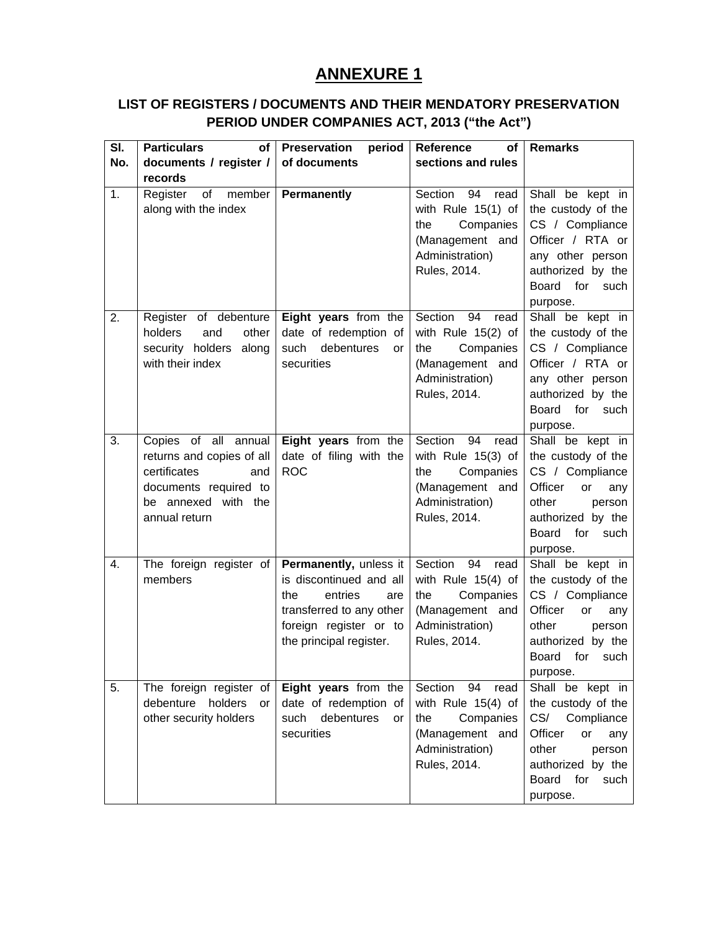# **ANNEXURE 1**

## **LIST OF REGISTERS / DOCUMENTS AND THEIR MENDATORY PRESERVATION PERIOD UNDER COMPANIES ACT, 2013 ("the Act")**

| SI. | <b>Particulars</b><br><b>of</b>                                                                                                           | <b>Preservation</b><br>period                                                                                                                               | <b>Reference</b><br><b>of</b>                                                                                           | <b>Remarks</b>                                                                                                                                                         |
|-----|-------------------------------------------------------------------------------------------------------------------------------------------|-------------------------------------------------------------------------------------------------------------------------------------------------------------|-------------------------------------------------------------------------------------------------------------------------|------------------------------------------------------------------------------------------------------------------------------------------------------------------------|
| No. | documents / register /                                                                                                                    | of documents                                                                                                                                                | sections and rules                                                                                                      |                                                                                                                                                                        |
|     | records                                                                                                                                   |                                                                                                                                                             |                                                                                                                         |                                                                                                                                                                        |
| 1.  | Register<br>of<br>member<br>along with the index                                                                                          | <b>Permanently</b>                                                                                                                                          | Section<br>94<br>read<br>with Rule 15(1) of<br>Companies<br>the<br>(Management and<br>Administration)<br>Rules, 2014.   | Shall be kept in<br>the custody of the<br>CS / Compliance<br>Officer / RTA or<br>any other person<br>authorized by the<br>Board for<br>such<br>purpose.                |
| 2.  | Register of debenture<br>holders<br>and<br>other<br>security holders<br>along<br>with their index                                         | Eight years from the<br>date of redemption of<br>such debentures<br>or<br>securities                                                                        | Section<br>94<br>read<br>with Rule 15(2) of<br>the<br>Companies<br>(Management and<br>Administration)<br>Rules, 2014.   | Shall be kept in<br>the custody of the<br>CS / Compliance<br>Officer / RTA or<br>any other person<br>authorized by the<br>Board<br>for<br>such<br>purpose.             |
| 3.  | Copies of all annual<br>returns and copies of all<br>certificates<br>and<br>documents required to<br>be annexed with the<br>annual return | Eight years from the<br>date of filing with the<br><b>ROC</b>                                                                                               | Section<br>94<br>read<br>with Rule 15(3) of<br>Companies<br>the<br>(Management and<br>Administration)<br>Rules, 2014.   | Shall be kept in<br>the custody of the<br>CS / Compliance<br>Officer<br>or<br>any<br>other<br>person<br>authorized by the<br><b>Board</b><br>for<br>such<br>purpose.   |
| 4.  | The foreign register of<br>members                                                                                                        | Permanently, unless it<br>is discontinued and all<br>the<br>entries<br>are<br>transferred to any other<br>foreign register or to<br>the principal register. | Section<br>94<br>read<br>with Rule $15(4)$ of<br>the<br>Companies<br>(Management and<br>Administration)<br>Rules, 2014. | Shall be kept in<br>the custody of the<br>CS / Compliance<br>Officer<br>or<br>any<br>other<br>person<br>authorized by the<br>for<br>Board<br>such<br>purpose.          |
| 5.  | The foreign register of<br>debenture holders<br><b>or</b><br>other security holders                                                       | Eight years from the<br>date of redemption of<br>debentures<br>such<br>or<br>securities                                                                     | Section<br>94<br>read<br>with Rule $15(4)$ of<br>Companies<br>the<br>(Management and<br>Administration)<br>Rules, 2014. | Shall be kept in<br>the custody of the<br>CS/<br>Compliance<br>Officer<br>or<br>any<br>other<br>person<br>authorized by the<br>for<br><b>Board</b><br>such<br>purpose. |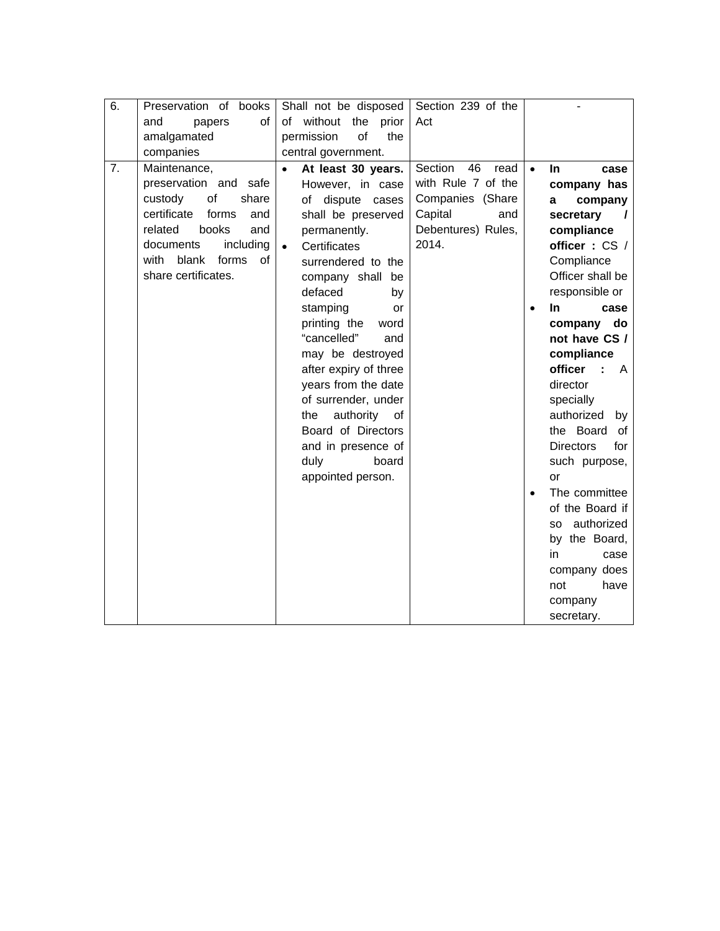| 6. | Preservation of books<br>and<br>papers<br>0f |           | Shall not be disposed<br>of without the prior | Section 239 of the<br>Act |           |                             |
|----|----------------------------------------------|-----------|-----------------------------------------------|---------------------------|-----------|-----------------------------|
|    | amalgamated                                  |           | of<br>permission<br>the                       |                           |           |                             |
|    | companies                                    |           | central government.                           |                           |           |                             |
| 7. | Maintenance,                                 | $\bullet$ | At least 30 years.                            | Section<br>46<br>read     | $\bullet$ | <b>In</b><br>case           |
|    | preservation and<br>safe                     |           | However, in case                              | with Rule 7 of the        |           | company has                 |
|    | of<br>custody<br>share                       |           | of dispute cases                              | Companies (Share          |           | company<br>a                |
|    | certificate<br>forms<br>and                  |           | shall be preserved                            | Capital<br>and            |           | secretary<br>$\prime$       |
|    | related<br>books<br>and                      |           | permanently.                                  | Debentures) Rules,        |           | compliance                  |
|    | including<br>documents                       | $\bullet$ | Certificates                                  | 2014.                     |           | officer: CS /               |
|    | blank<br>with<br>forms<br>οf                 |           | surrendered to the                            |                           |           | Compliance                  |
|    | share certificates.                          |           | company shall<br>be                           |                           |           | Officer shall be            |
|    |                                              |           | defaced<br>by                                 |                           |           | responsible or              |
|    |                                              |           | stamping<br>or                                |                           |           | <b>In</b><br>case           |
|    |                                              |           | printing the<br>word                          |                           |           | company<br>do               |
|    |                                              |           | "cancelled"<br>and                            |                           |           | not have CS /               |
|    |                                              |           | may be destroyed                              |                           |           | compliance                  |
|    |                                              |           | after expiry of three                         |                           |           | officer<br>÷<br>A           |
|    |                                              |           | years from the date                           |                           |           | director                    |
|    |                                              |           | of surrender, under                           |                           |           | specially                   |
|    |                                              |           | authority<br>the<br>0f                        |                           |           | authorized<br>by            |
|    |                                              |           | Board of Directors                            |                           |           | the Board<br>οf             |
|    |                                              |           | and in presence of                            |                           |           | <b>Directors</b><br>for     |
|    |                                              |           | duly<br>board                                 |                           |           | such purpose,               |
|    |                                              |           | appointed person.                             |                           |           | or                          |
|    |                                              |           |                                               |                           |           | The committee               |
|    |                                              |           |                                               |                           |           | of the Board if             |
|    |                                              |           |                                               |                           |           | authorized<br>SO.           |
|    |                                              |           |                                               |                           |           | by the Board,<br>in<br>case |
|    |                                              |           |                                               |                           |           | company does                |
|    |                                              |           |                                               |                           |           | have<br>not                 |
|    |                                              |           |                                               |                           |           | company                     |
|    |                                              |           |                                               |                           |           | secretary.                  |
|    |                                              |           |                                               |                           |           |                             |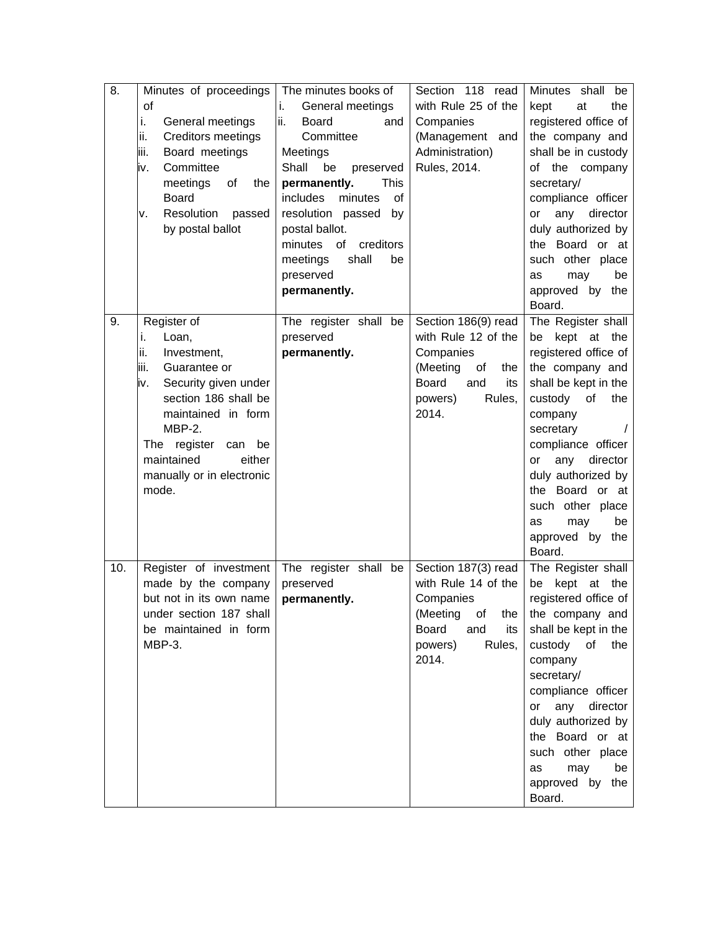| 8.  | Minutes of proceedings                           | The minutes books of       | Section 118 read                      | Minutes shall<br>be            |
|-----|--------------------------------------------------|----------------------------|---------------------------------------|--------------------------------|
|     | of                                               | General meetings<br>i.     | with Rule 25 of the                   | the<br>kept<br>at              |
|     | General meetings<br>i.                           | ii.<br><b>Board</b><br>and | Companies                             | registered office of           |
|     | ii.<br>Creditors meetings                        | Committee                  | (Management and                       | the company and                |
|     | iii.<br>Board meetings                           | Meetings                   | Administration)                       | shall be in custody            |
|     | Committee<br>iv.                                 | Shall<br>be<br>preserved   | Rules, 2014.                          | of the company                 |
|     | meetings<br>of<br>the                            | permanently.<br>This       |                                       | secretary/                     |
|     | <b>Board</b>                                     | includes<br>minutes<br>of  |                                       | compliance officer             |
|     | Resolution<br>passed<br>ν.                       | resolution passed<br>by    |                                       | director<br>or<br>any          |
|     | by postal ballot                                 | postal ballot.             |                                       | duly authorized by             |
|     |                                                  | of<br>creditors<br>minutes |                                       | the Board or at                |
|     |                                                  | shall<br>meetings<br>be    |                                       | such other place               |
|     |                                                  | preserved                  |                                       | may<br>be<br>as                |
|     |                                                  | permanently.               |                                       | approved by the                |
|     |                                                  |                            |                                       | Board.                         |
| 9.  | Register of                                      | The register shall be      | Section 186(9) read                   | The Register shall             |
|     | Loan,<br>i.                                      | preserved                  | with Rule 12 of the                   | kept<br>be<br>at the           |
|     | ii.<br>Investment,                               | permanently.               | Companies                             | registered office of           |
|     | liii.<br>Guarantee or                            |                            | (Meeting<br>of<br>the                 | the company and                |
|     | Security given under<br>iv.                      |                            | <b>Board</b><br>and<br>its            | shall be kept in the           |
|     | section 186 shall be                             |                            | Rules,<br>powers)                     | custody<br>the<br>of           |
|     | maintained in form                               |                            | 2014.                                 | company                        |
|     | $MBP-2.$                                         |                            |                                       | secretary                      |
|     | The register<br>be<br>can                        |                            |                                       | compliance officer             |
|     | maintained<br>either                             |                            |                                       | director<br>any<br>or          |
|     | manually or in electronic                        |                            |                                       | duly authorized by             |
|     | mode.                                            |                            |                                       | the Board or at                |
|     |                                                  |                            |                                       | such other place               |
|     |                                                  |                            |                                       | be<br>may<br>as                |
|     |                                                  |                            |                                       | approved by the                |
|     |                                                  |                            |                                       | Board.                         |
| 10. | Register of investment                           | The register shall be      | Section 187(3) read                   | The Register shall             |
|     | made by the company                              | preserved                  | with Rule 14 of the                   | kept<br>be                     |
|     | but not in its own name                          | permanently.               | Companies                             | at the<br>registered office of |
|     |                                                  |                            |                                       |                                |
|     | under section 187 shall<br>be maintained in form |                            | (Meeting<br>οf<br>the<br><b>Board</b> | the company and                |
|     | MBP-3.                                           |                            | and<br>its                            | shall be kept in the<br>the    |
|     |                                                  |                            | powers)<br>Rules,<br>2014.            | custody of                     |
|     |                                                  |                            |                                       | company                        |
|     |                                                  |                            |                                       | secretary/                     |
|     |                                                  |                            |                                       | compliance officer             |
|     |                                                  |                            |                                       | any director<br>or             |
|     |                                                  |                            |                                       | duly authorized by             |
|     |                                                  |                            |                                       | the Board or at                |
|     |                                                  |                            |                                       | such other place               |
|     |                                                  |                            |                                       | may<br>be<br>as                |
|     |                                                  |                            |                                       | approved by the                |
|     |                                                  |                            |                                       | Board.                         |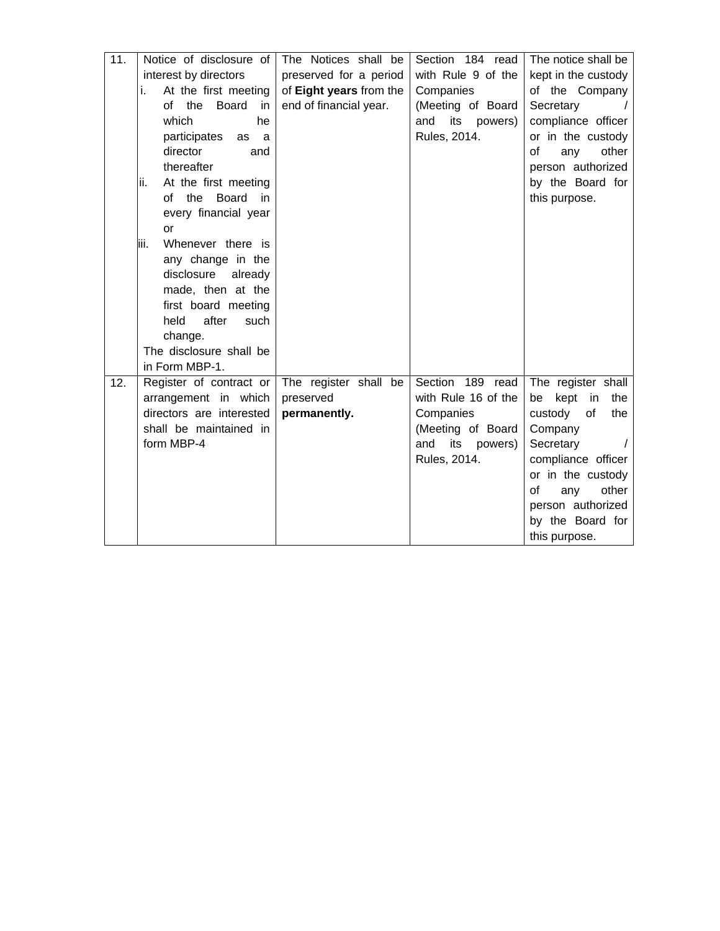| 11. | Notice of disclosure of      | The Notices shall be    | Section 184 read      | The notice shall be     |
|-----|------------------------------|-------------------------|-----------------------|-------------------------|
|     | interest by directors        | preserved for a period  | with Rule 9 of the    | kept in the custody     |
|     | At the first meeting<br>i.   | of Eight years from the | Companies             | of the Company          |
|     | the<br>Board<br>of<br>in.    | end of financial year.  | (Meeting of Board     | Secretary               |
|     | which<br>he                  |                         | and<br>its<br>powers) | compliance officer      |
|     | participates<br>as<br>a      |                         | Rules, 2014.          | or in the custody       |
|     | director<br>and              |                         |                       | other<br>οf<br>any      |
|     | thereafter                   |                         |                       | person authorized       |
|     | lii.<br>At the first meeting |                         |                       | by the Board for        |
|     | of the<br>Board<br>in        |                         |                       | this purpose.           |
|     | every financial year         |                         |                       |                         |
|     | or                           |                         |                       |                         |
|     | liii.<br>Whenever there is   |                         |                       |                         |
|     | any change in the            |                         |                       |                         |
|     | disclosure<br>already        |                         |                       |                         |
|     | made, then at the            |                         |                       |                         |
|     | first board meeting          |                         |                       |                         |
|     | held<br>after<br>such        |                         |                       |                         |
|     | change.                      |                         |                       |                         |
|     | The disclosure shall be      |                         |                       |                         |
|     | in Form MBP-1.               |                         |                       |                         |
| 12. | Register of contract or      | The register shall be   | Section 189 read      | The register shall      |
|     | arrangement in which         | preserved               | with Rule 16 of the   | kept<br>be<br>in<br>the |
|     | directors are interested     | permanently.            | Companies             | custody<br>of<br>the    |
|     | shall be maintained in       |                         | (Meeting of Board     | Company                 |
|     | form MBP-4                   |                         | and<br>its<br>powers) | Secretary               |
|     |                              |                         | Rules, 2014.          | compliance officer      |
|     |                              |                         |                       | or in the custody       |
|     |                              |                         |                       | other<br>of<br>any      |
|     |                              |                         |                       | person authorized       |
|     |                              |                         |                       | by the Board for        |
|     |                              |                         |                       | this purpose.           |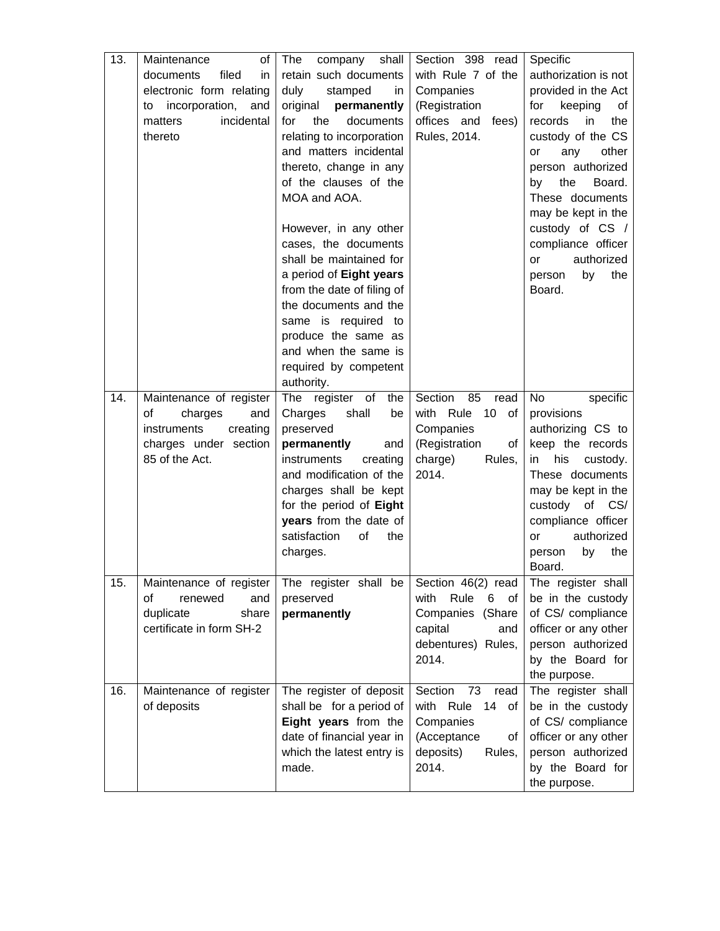| 13. | Maintenance<br>οf                       | The<br>company<br>shall             | Section 398 read                         | Specific                                  |
|-----|-----------------------------------------|-------------------------------------|------------------------------------------|-------------------------------------------|
|     | filed<br>documents<br>in                | retain such documents               | with Rule 7 of the                       | authorization is not                      |
|     | electronic form relating                | duly<br>stamped<br>in               | Companies                                | provided in the Act                       |
|     | incorporation,<br>and<br>to             | original<br>permanently             | (Registration                            | for<br>keeping<br>οf                      |
|     | incidental<br>matters                   | documents<br>for<br>the             | offices and<br>fees)                     | the<br>records<br>in                      |
|     | thereto                                 | relating to incorporation           | Rules, 2014.                             | custody of the CS                         |
|     |                                         | and matters incidental              |                                          | other<br>any<br>or                        |
|     |                                         | thereto, change in any              |                                          | person authorized                         |
|     |                                         | of the clauses of the               |                                          | the<br>by<br>Board.                       |
|     |                                         | MOA and AOA.                        |                                          | These documents                           |
|     |                                         |                                     |                                          | may be kept in the                        |
|     |                                         | However, in any other               |                                          | custody of CS /                           |
|     |                                         | cases, the documents                |                                          | compliance officer                        |
|     |                                         | shall be maintained for             |                                          | authorized<br>or                          |
|     |                                         | a period of Eight years             |                                          | the<br>by<br>person                       |
|     |                                         | from the date of filing of          |                                          | Board.                                    |
|     |                                         | the documents and the               |                                          |                                           |
|     |                                         | same is required to                 |                                          |                                           |
|     |                                         | produce the same as                 |                                          |                                           |
|     |                                         | and when the same is                |                                          |                                           |
|     |                                         | required by competent               |                                          |                                           |
|     |                                         | authority.                          |                                          |                                           |
| 14. | Maintenance of register                 | register of<br>The<br>the           | Section<br>85<br>read                    | No<br>specific                            |
|     | of<br>charges<br>and                    | shall<br>Charges<br>be              | with Rule<br>10<br>of                    | provisions                                |
|     | creating<br>instruments                 | preserved                           | Companies                                | authorizing CS to                         |
|     | charges under section<br>85 of the Act. | permanently<br>and<br>instruments   | (Registration<br>of<br>charge)<br>Rules, | keep the records<br>his<br>in<br>custody. |
|     |                                         | creating<br>and modification of the | 2014.                                    | These documents                           |
|     |                                         | charges shall be kept               |                                          | may be kept in the                        |
|     |                                         | for the period of Eight             |                                          | custody of CS/                            |
|     |                                         | years from the date of              |                                          | compliance officer                        |
|     |                                         | satisfaction<br>of<br>the           |                                          | authorized<br>or                          |
|     |                                         | charges.                            |                                          | the<br>by<br>person                       |
|     |                                         |                                     |                                          | Board.                                    |
| 15. | Maintenance of register                 | The register shall be               | Section 46(2) read                       | The register shall                        |
|     | of<br>renewed<br>and                    | preserved                           | Rule<br>with<br>6<br>of                  | be in the custody                         |
|     | duplicate<br>share                      | permanently                         | Companies (Share                         | of CS/ compliance                         |
|     | certificate in form SH-2                |                                     | capital<br>and                           | officer or any other                      |
|     |                                         |                                     | debentures) Rules,                       | person authorized                         |
|     |                                         |                                     | 2014.                                    | by the Board for                          |
|     |                                         |                                     |                                          | the purpose.                              |
| 16. | Maintenance of register                 | The register of deposit             | Section<br>73<br>read                    | The register shall                        |
|     | of deposits                             | shall be for a period of            | with Rule<br>14<br>of                    | be in the custody                         |
|     |                                         | Eight years from the                | Companies                                | of CS/ compliance                         |
|     |                                         | date of financial year in           | (Acceptance<br>οf                        | officer or any other                      |
|     |                                         | which the latest entry is           | deposits)<br>Rules,                      | person authorized                         |
|     |                                         | made.                               | 2014.                                    | by the Board for                          |
|     |                                         |                                     |                                          | the purpose.                              |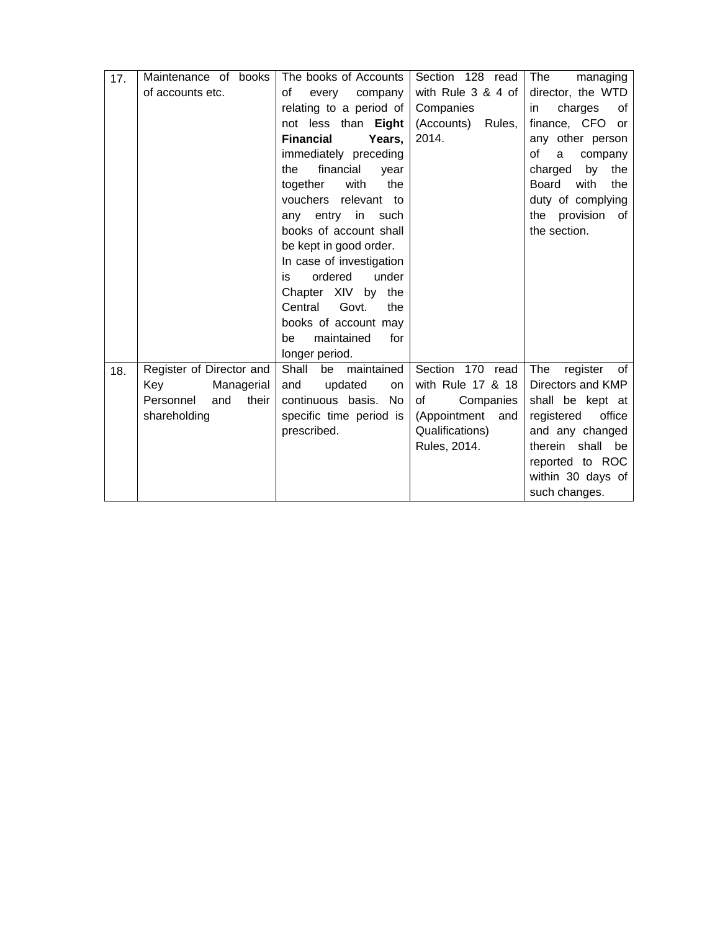| 17. | Maintenance of books      | The books of Accounts      | Section 128 read     | The<br>managing             |
|-----|---------------------------|----------------------------|----------------------|-----------------------------|
|     | of accounts etc.          | οf<br>every<br>company     | with Rule 3 & 4 of   | director, the WTD           |
|     |                           | relating to a period of    | Companies            | charges<br>of<br>in         |
|     |                           | not less than Eight        | (Accounts)<br>Rules, | finance, CFO or             |
|     |                           | <b>Financial</b><br>Years. | 2014.                | any other person            |
|     |                           | immediately preceding      |                      | of<br>a<br>company          |
|     |                           | financial<br>the<br>year   |                      | charged<br>by<br>the        |
|     |                           | together<br>with<br>the    |                      | <b>Board</b><br>with<br>the |
|     |                           | vouchers relevant to       |                      | duty of complying           |
|     |                           | entry<br>in such<br>any    |                      | the provision<br>of         |
|     |                           | books of account shall     |                      | the section.                |
|     |                           | be kept in good order.     |                      |                             |
|     |                           | In case of investigation   |                      |                             |
|     |                           | ordered<br>under<br>is     |                      |                             |
|     |                           | Chapter XIV by the         |                      |                             |
|     |                           | Govt.<br>Central<br>the    |                      |                             |
|     |                           | books of account may       |                      |                             |
|     |                           | maintained<br>for<br>be    |                      |                             |
|     |                           | longer period.             |                      |                             |
| 18. | Register of Director and  | Shall<br>maintained<br>be  | Section 170 read     | The<br>register<br>0f       |
|     | Managerial<br>Key         | updated<br>and<br>on       | with Rule 17 & 18    | Directors and KMP           |
|     | and<br>Personnel<br>their | continuous basis.<br>No.   | of<br>Companies      | shall be kept at            |
|     | shareholding              | specific time period is    | (Appointment<br>and  | office<br>registered        |
|     |                           | prescribed.                | Qualifications)      | and any changed             |
|     |                           |                            | Rules, 2014.         | therein shall be            |
|     |                           |                            |                      | reported to ROC             |
|     |                           |                            |                      | within 30 days of           |
|     |                           |                            |                      | such changes.               |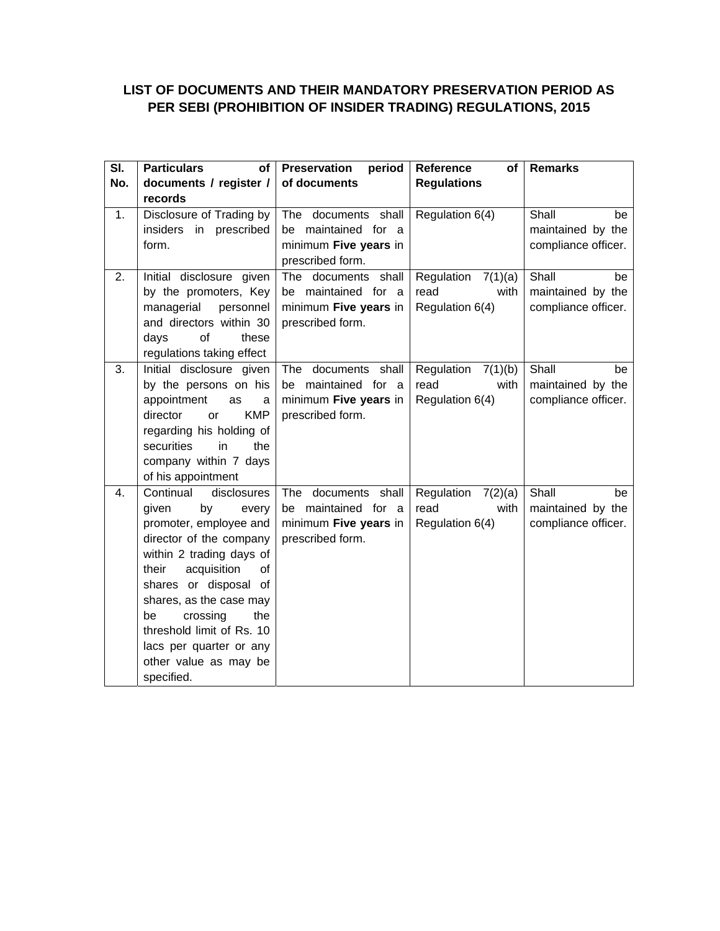# **LIST OF DOCUMENTS AND THEIR MANDATORY PRESERVATION PERIOD AS PER SEBI (PROHIBITION OF INSIDER TRADING) REGULATIONS, 2015**

| SI. | <b>Particulars</b><br><b>of</b>                | <b>Preservation</b><br>period                | Reference<br>of       | <b>Remarks</b>                           |
|-----|------------------------------------------------|----------------------------------------------|-----------------------|------------------------------------------|
| No. | documents / register /                         | of documents                                 | <b>Regulations</b>    |                                          |
|     | records                                        |                                              |                       |                                          |
| 1.  | Disclosure of Trading by                       | The documents shall                          | Regulation 6(4)       | Shall<br>be                              |
|     | insiders<br>in prescribed<br>form.             | be maintained for a<br>minimum Five years in |                       | maintained by the<br>compliance officer. |
|     |                                                | prescribed form.                             |                       |                                          |
| 2.  | Initial disclosure given                       | The documents shall                          | Regulation<br>7(1)(a) | Shall<br>be                              |
|     | by the promoters, Key                          | be maintained for a                          | read<br>with          | maintained by the                        |
|     | managerial<br>personnel                        | minimum Five years in                        | Regulation 6(4)       | compliance officer.                      |
|     | and directors within 30                        | prescribed form.                             |                       |                                          |
|     | of<br>days<br>these                            |                                              |                       |                                          |
|     | regulations taking effect                      |                                              |                       |                                          |
| 3.  | Initial disclosure given                       | The documents shall                          | Regulation $7(1)(b)$  | Shall<br>be                              |
|     | by the persons on his                          | be maintained for<br><sub>a</sub>            | read<br>with          | maintained by the                        |
|     | appointment<br>as<br>a                         | minimum Five years in                        | Regulation 6(4)       | compliance officer.                      |
|     | <b>KMP</b><br>director<br>or                   | prescribed form.                             |                       |                                          |
|     | regarding his holding of                       |                                              |                       |                                          |
|     | securities<br>in<br>the                        |                                              |                       |                                          |
|     | company within 7 days                          |                                              |                       |                                          |
| 4.  | of his appointment<br>Continual<br>disclosures | The documents shall                          | Regulation 7(2)(a)    | Shall<br>be                              |
|     | by<br>given<br>every                           | be maintained for a                          | read<br>with          | maintained by the                        |
|     | promoter, employee and                         | minimum Five years in                        | Regulation 6(4)       | compliance officer.                      |
|     | director of the company                        | prescribed form.                             |                       |                                          |
|     | within 2 trading days of                       |                                              |                       |                                          |
|     | acquisition<br>their<br>of                     |                                              |                       |                                          |
|     | shares or disposal of                          |                                              |                       |                                          |
|     | shares, as the case may                        |                                              |                       |                                          |
|     | crossing<br>be<br>the                          |                                              |                       |                                          |
|     | threshold limit of Rs. 10                      |                                              |                       |                                          |
|     | lacs per quarter or any                        |                                              |                       |                                          |
|     | other value as may be                          |                                              |                       |                                          |
|     | specified.                                     |                                              |                       |                                          |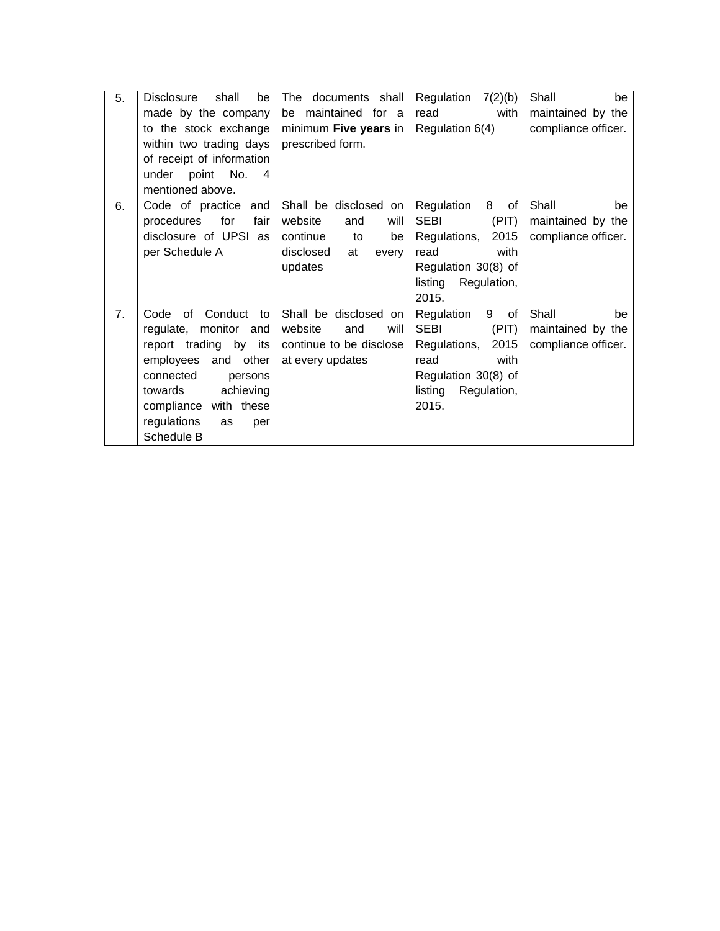| 5. | <b>Disclosure</b><br>shall<br>be     | The documents shall      | Regulation<br>7(2)(b)  | Shall<br>be         |
|----|--------------------------------------|--------------------------|------------------------|---------------------|
|    | made by the company                  | be maintained for a      | read<br>with           | maintained by the   |
|    | to the stock exchange                | minimum Five years in    | Regulation 6(4)        | compliance officer. |
|    | within two trading days              | prescribed form.         |                        |                     |
|    | of receipt of information            |                          |                        |                     |
|    | point No.<br>under<br>$\overline{4}$ |                          |                        |                     |
|    | mentioned above.                     |                          |                        |                     |
| 6. | Code of practice and                 | Shall be disclosed on    | 8<br>Regulation<br>of  | Shall<br>be         |
|    | fair<br>procedures<br>for            | website<br>and<br>will   | <b>SEBI</b><br>(PIT)   | maintained by the   |
|    | disclosure of UPSI as                | continue<br>to<br>be     | 2015<br>Regulations,   | compliance officer. |
|    | per Schedule A                       | disclosed<br>at<br>every | read<br>with           |                     |
|    |                                      | updates                  | Regulation 30(8) of    |                     |
|    |                                      |                          | listing<br>Regulation, |                     |
|    |                                      |                          | 2015.                  |                     |
| 7. | Conduct<br>Code<br>of<br>to          | Shall be disclosed<br>on | Regulation<br>9<br>of  | Shall<br>be         |
|    | regulate, monitor and                | website<br>will<br>and   | <b>SEBI</b><br>(PIT)   | maintained by the   |
|    | report trading by its                | continue to be disclose  | 2015<br>Regulations,   | compliance officer. |
|    |                                      |                          |                        |                     |
|    | employees and other                  | at every updates         | read<br>with           |                     |
|    | connected<br>persons                 |                          | Regulation 30(8) of    |                     |
|    | achieving<br>towards                 |                          | listing<br>Regulation, |                     |
|    | compliance with these                |                          | 2015.                  |                     |
|    | regulations<br>as<br>per             |                          |                        |                     |
|    | Schedule B                           |                          |                        |                     |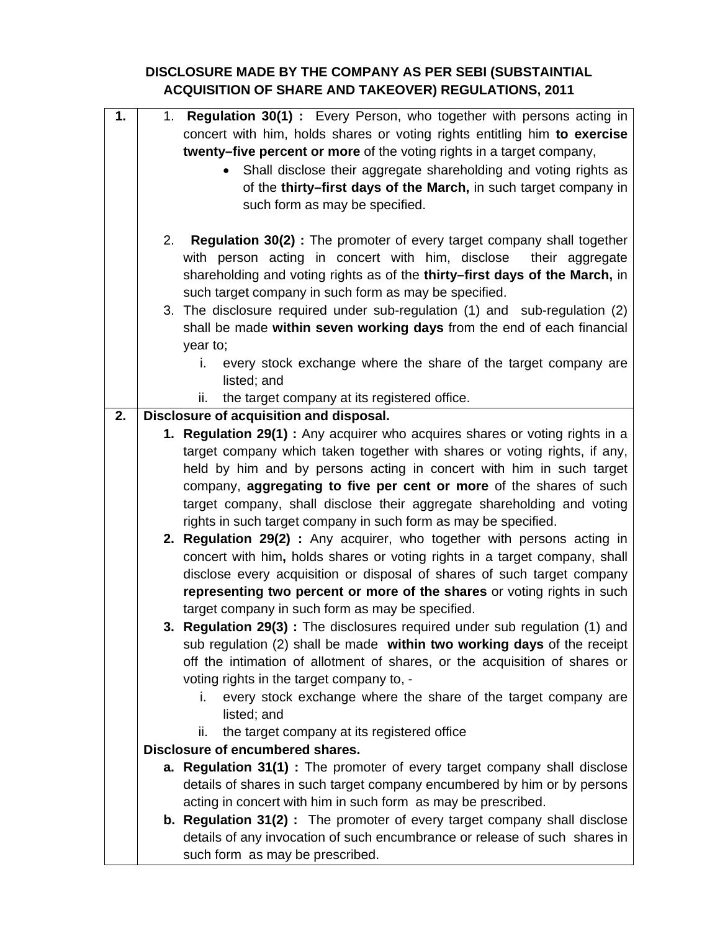## **DISCLOSURE MADE BY THE COMPANY AS PER SEBI (SUBSTAINTIAL ACQUISITION OF SHARE AND TAKEOVER) REGULATIONS, 2011**

| 1. |                                                                  | 1. Regulation 30(1): Every Person, who together with persons acting in           |  |  |  |
|----|------------------------------------------------------------------|----------------------------------------------------------------------------------|--|--|--|
|    |                                                                  | concert with him, holds shares or voting rights entitling him to exercise        |  |  |  |
|    |                                                                  | twenty-five percent or more of the voting rights in a target company,            |  |  |  |
|    | Shall disclose their aggregate shareholding and voting rights as |                                                                                  |  |  |  |
|    |                                                                  | of the thirty-first days of the March, in such target company in                 |  |  |  |
|    |                                                                  | such form as may be specified.                                                   |  |  |  |
|    |                                                                  |                                                                                  |  |  |  |
|    | 2.                                                               | <b>Regulation 30(2):</b> The promoter of every target company shall together     |  |  |  |
|    |                                                                  | with person acting in concert with him, disclose<br>their aggregate              |  |  |  |
|    |                                                                  | shareholding and voting rights as of the thirty-first days of the March, in      |  |  |  |
|    |                                                                  | such target company in such form as may be specified.                            |  |  |  |
|    |                                                                  | 3. The disclosure required under sub-regulation (1) and sub-regulation (2)       |  |  |  |
|    |                                                                  | shall be made within seven working days from the end of each financial           |  |  |  |
|    |                                                                  | year to;                                                                         |  |  |  |
|    |                                                                  | every stock exchange where the share of the target company are<br>i.             |  |  |  |
|    |                                                                  | listed; and                                                                      |  |  |  |
|    |                                                                  | the target company at its registered office.<br>ii.                              |  |  |  |
| 2. |                                                                  | Disclosure of acquisition and disposal.                                          |  |  |  |
|    |                                                                  | 1. Regulation 29(1) : Any acquirer who acquires shares or voting rights in a     |  |  |  |
|    |                                                                  | target company which taken together with shares or voting rights, if any,        |  |  |  |
|    |                                                                  | held by him and by persons acting in concert with him in such target             |  |  |  |
|    |                                                                  | company, aggregating to five per cent or more of the shares of such              |  |  |  |
|    |                                                                  | target company, shall disclose their aggregate shareholding and voting           |  |  |  |
|    |                                                                  | rights in such target company in such form as may be specified.                  |  |  |  |
|    |                                                                  | 2. Regulation 29(2) : Any acquirer, who together with persons acting in          |  |  |  |
|    |                                                                  | concert with him, holds shares or voting rights in a target company, shall       |  |  |  |
|    |                                                                  | disclose every acquisition or disposal of shares of such target company          |  |  |  |
|    |                                                                  | representing two percent or more of the shares or voting rights in such          |  |  |  |
|    |                                                                  | target company in such form as may be specified.                                 |  |  |  |
|    |                                                                  | 3. Regulation 29(3): The disclosures required under sub regulation (1) and       |  |  |  |
|    |                                                                  | sub regulation $(2)$ shall be made within two working days of the receipt        |  |  |  |
|    |                                                                  | off the intimation of allotment of shares, or the acquisition of shares or       |  |  |  |
|    |                                                                  | voting rights in the target company to, -                                        |  |  |  |
|    |                                                                  | every stock exchange where the share of the target company are<br>i.             |  |  |  |
|    |                                                                  | listed; and                                                                      |  |  |  |
|    |                                                                  | ii.<br>the target company at its registered office                               |  |  |  |
|    |                                                                  | Disclosure of encumbered shares.                                                 |  |  |  |
|    |                                                                  | a. Regulation 31(1) : The promoter of every target company shall disclose        |  |  |  |
|    |                                                                  | details of shares in such target company encumbered by him or by persons         |  |  |  |
|    |                                                                  | acting in concert with him in such form as may be prescribed.                    |  |  |  |
|    |                                                                  | <b>b. Regulation 31(2)</b> : The promoter of every target company shall disclose |  |  |  |
|    |                                                                  | details of any invocation of such encumbrance or release of such shares in       |  |  |  |
|    |                                                                  | such form as may be prescribed.                                                  |  |  |  |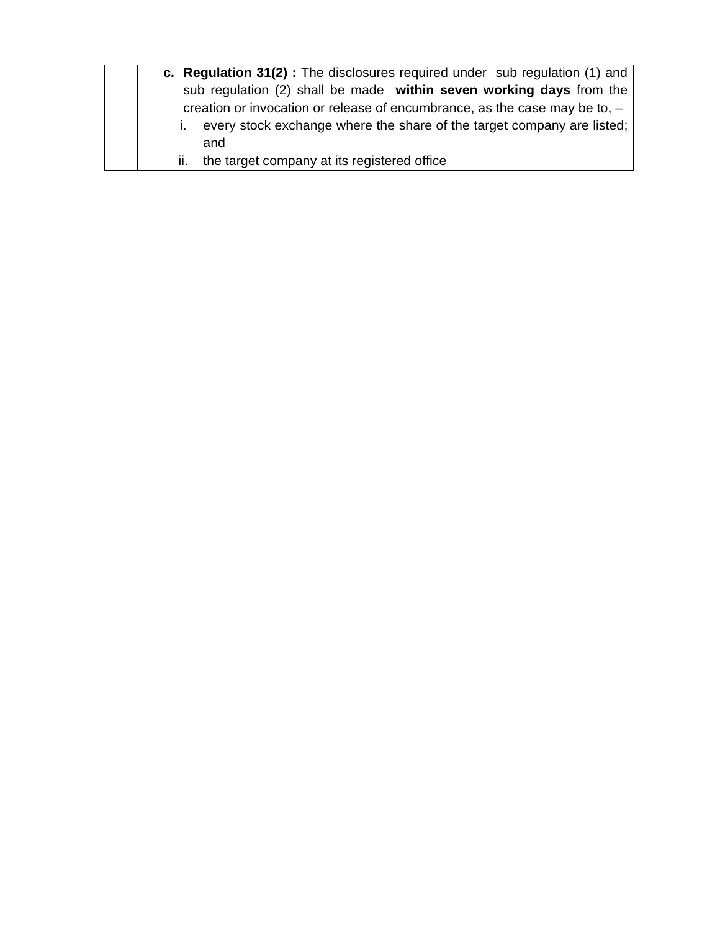| c. Regulation 31(2): The disclosures required under sub regulation (1) and   |
|------------------------------------------------------------------------------|
| sub regulation (2) shall be made within seven working days from the          |
| creation or invocation or release of encumbrance, as the case may be to, $-$ |
| every stock exchange where the share of the target company are listed;       |
| and                                                                          |
| ii. the target company at its registered office                              |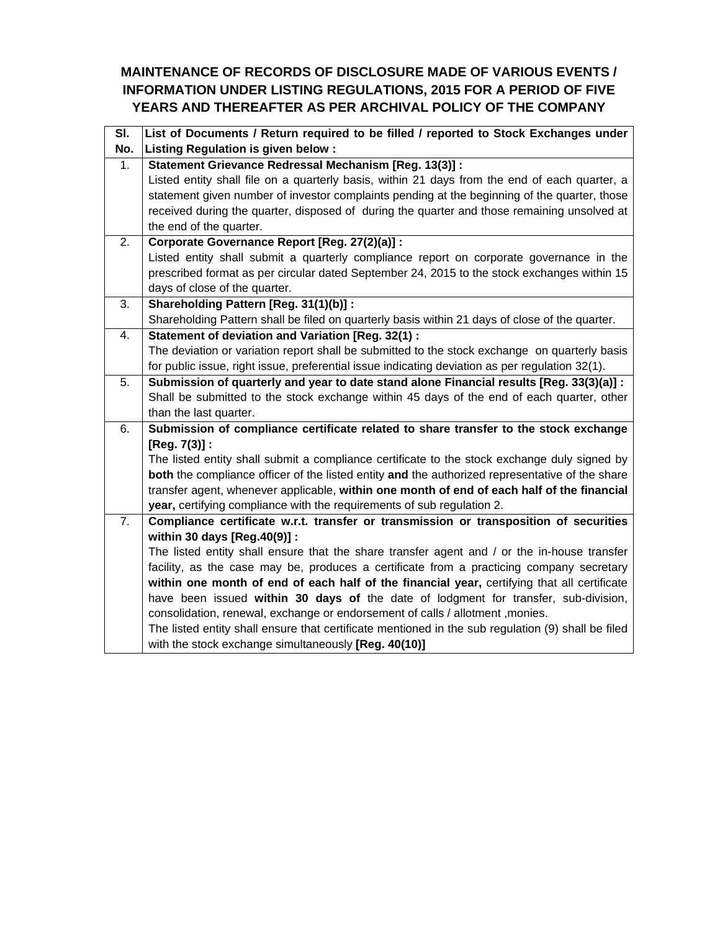## **MAINTENANCE OF RECORDS OF DISCLOSURE MADE OF VARIOUS EVENTS / INFORMATION UNDER LISTING REGULATIONS, 2015 FOR A PERIOD OF FIVE YEARS AND THEREAFTER AS PER ARCHIVAL POLICY OF THE COMPANY**

| SI. | List of Documents / Return required to be filled / reported to Stock Exchanges under               |
|-----|----------------------------------------------------------------------------------------------------|
| No. | Listing Regulation is given below :                                                                |
| 1.  | Statement Grievance Redressal Mechanism [Reg. 13(3)] :                                             |
|     | Listed entity shall file on a quarterly basis, within 21 days from the end of each quarter, a      |
|     | statement given number of investor complaints pending at the beginning of the quarter, those       |
|     | received during the quarter, disposed of during the quarter and those remaining unsolved at        |
|     | the end of the quarter.                                                                            |
| 2.  | Corporate Governance Report [Reg. 27(2)(a)] :                                                      |
|     | Listed entity shall submit a quarterly compliance report on corporate governance in the            |
|     | prescribed format as per circular dated September 24, 2015 to the stock exchanges within 15        |
|     | days of close of the quarter.                                                                      |
| 3.  | Shareholding Pattern [Reg. 31(1)(b)] :                                                             |
|     | Shareholding Pattern shall be filed on quarterly basis within 21 days of close of the quarter.     |
| 4.  | Statement of deviation and Variation [Reg. 32(1) :                                                 |
|     | The deviation or variation report shall be submitted to the stock exchange on quarterly basis      |
|     | for public issue, right issue, preferential issue indicating deviation as per regulation 32(1).    |
| 5.  | Submission of quarterly and year to date stand alone Financial results [Reg. 33(3)(a)] :           |
|     | Shall be submitted to the stock exchange within 45 days of the end of each quarter, other          |
|     | than the last quarter.                                                                             |
| 6.  | Submission of compliance certificate related to share transfer to the stock exchange               |
|     | $[Reg. 7(3)]$ :                                                                                    |
|     | The listed entity shall submit a compliance certificate to the stock exchange duly signed by       |
|     | both the compliance officer of the listed entity and the authorized representative of the share    |
|     | transfer agent, whenever applicable, within one month of end of each half of the financial         |
|     | year, certifying compliance with the requirements of sub regulation 2.                             |
| 7.  | Compliance certificate w.r.t. transfer or transmission or transposition of securities              |
|     | within 30 days [Reg.40(9)] :                                                                       |
|     | The listed entity shall ensure that the share transfer agent and / or the in-house transfer        |
|     | facility, as the case may be, produces a certificate from a practicing company secretary           |
|     | within one month of end of each half of the financial year, certifying that all certificate        |
|     | have been issued within 30 days of the date of lodgment for transfer, sub-division,                |
|     | consolidation, renewal, exchange or endorsement of calls / allotment , monies.                     |
|     | The listed entity shall ensure that certificate mentioned in the sub regulation (9) shall be filed |
|     | with the stock exchange simultaneously [Reg. 40(10)]                                               |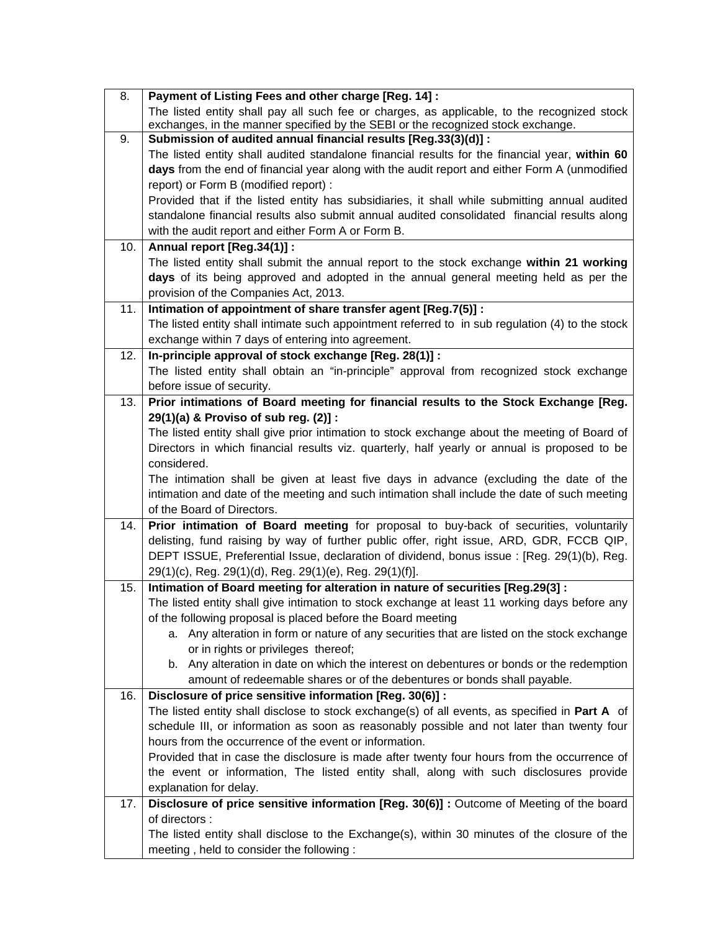| 8.  | Payment of Listing Fees and other charge [Reg. 14] :                                                                            |
|-----|---------------------------------------------------------------------------------------------------------------------------------|
|     | The listed entity shall pay all such fee or charges, as applicable, to the recognized stock                                     |
|     | exchanges, in the manner specified by the SEBI or the recognized stock exchange.                                                |
| 9.  | Submission of audited annual financial results [Reg.33(3)(d)] :                                                                 |
|     | The listed entity shall audited standalone financial results for the financial year, within 60                                  |
|     | days from the end of financial year along with the audit report and either Form A (unmodified                                   |
|     | report) or Form B (modified report) :                                                                                           |
|     | Provided that if the listed entity has subsidiaries, it shall while submitting annual audited                                   |
|     | standalone financial results also submit annual audited consolidated financial results along                                    |
|     | with the audit report and either Form A or Form B.                                                                              |
| 10. | Annual report [Reg.34(1)] :                                                                                                     |
|     | The listed entity shall submit the annual report to the stock exchange within 21 working                                        |
|     | days of its being approved and adopted in the annual general meeting held as per the                                            |
|     | provision of the Companies Act, 2013.                                                                                           |
| 11. | Intimation of appointment of share transfer agent [Reg.7(5)] :                                                                  |
|     | The listed entity shall intimate such appointment referred to in sub regulation (4) to the stock                                |
|     | exchange within 7 days of entering into agreement.                                                                              |
| 12. | In-principle approval of stock exchange [Reg. 28(1)] :                                                                          |
|     | The listed entity shall obtain an "in-principle" approval from recognized stock exchange                                        |
|     | before issue of security.                                                                                                       |
| 13. | Prior intimations of Board meeting for financial results to the Stock Exchange [Reg.                                            |
|     | 29(1)(a) & Proviso of sub reg. (2)] :                                                                                           |
|     | The listed entity shall give prior intimation to stock exchange about the meeting of Board of                                   |
|     | Directors in which financial results viz. quarterly, half yearly or annual is proposed to be                                    |
|     | considered.                                                                                                                     |
|     | The intimation shall be given at least five days in advance (excluding the date of the                                          |
|     | intimation and date of the meeting and such intimation shall include the date of such meeting                                   |
|     | of the Board of Directors.                                                                                                      |
| 14. | Prior intimation of Board meeting for proposal to buy-back of securities, voluntarily                                           |
|     | delisting, fund raising by way of further public offer, right issue, ARD, GDR, FCCB QIP,                                        |
|     | DEPT ISSUE, Preferential Issue, declaration of dividend, bonus issue : [Reg. 29(1)(b), Reg.                                     |
|     | 29(1)(c), Reg. 29(1)(d), Reg. 29(1)(e), Reg. 29(1)(f)].                                                                         |
| 15. | Intimation of Board meeting for alteration in nature of securities [Reg.29(3] :                                                 |
|     | The listed entity shall give intimation to stock exchange at least 11 working days before any                                   |
|     | of the following proposal is placed before the Board meeting                                                                    |
|     | a. Any alteration in form or nature of any securities that are listed on the stock exchange                                     |
|     | or in rights or privileges thereof;<br>b. Any alteration in date on which the interest on debentures or bonds or the redemption |
|     | amount of redeemable shares or of the debentures or bonds shall payable.                                                        |
| 16. | Disclosure of price sensitive information [Reg. 30(6)] :                                                                        |
|     | The listed entity shall disclose to stock exchange(s) of all events, as specified in Part A of                                  |
|     | schedule III, or information as soon as reasonably possible and not later than twenty four                                      |
|     | hours from the occurrence of the event or information.                                                                          |
|     | Provided that in case the disclosure is made after twenty four hours from the occurrence of                                     |
|     | the event or information, The listed entity shall, along with such disclosures provide                                          |
|     | explanation for delay.                                                                                                          |
| 17. | Disclosure of price sensitive information [Reg. 30(6)] : Outcome of Meeting of the board                                        |
|     | of directors :                                                                                                                  |
|     | The listed entity shall disclose to the Exchange(s), within 30 minutes of the closure of the                                    |
|     |                                                                                                                                 |
|     | meeting, held to consider the following:                                                                                        |